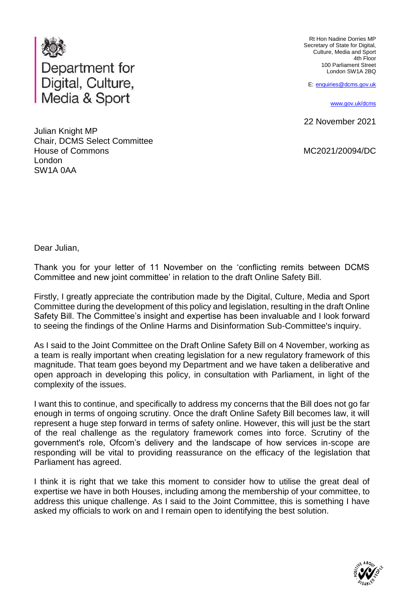

Julian Knight MP Chair, DCMS Select Committee House of Commons London SW1A 0AA

Rt Hon Nadine Dorries MP Secretary of State for Digital, Culture, Media and Sport 4th Floor 100 Parliament Street London SW1A 2BQ

E: [enquiries@dcms.gov.uk](mailto:enquiries@dcms.gov.uk)

[www.gov.uk/dcms](http://www.gov.uk/dcms)

22 November 2021

MC2021/20094/DC

Dear Julian,

Thank you for your letter of 11 November on the 'conflicting remits between DCMS Committee and new joint committee' in relation to the draft Online Safety Bill.

Firstly, I greatly appreciate the contribution made by the Digital, Culture, Media and Sport Committee during the development of this policy and legislation, resulting in the draft Online Safety Bill. The Committee's insight and expertise has been invaluable and I look forward to seeing the findings of the Online Harms and Disinformation Sub-Committee's inquiry.

As I said to the Joint Committee on the Draft Online Safety Bill on 4 November, working as a team is really important when creating legislation for a new regulatory framework of this magnitude. That team goes beyond my Department and we have taken a deliberative and open approach in developing this policy, in consultation with Parliament, in light of the complexity of the issues.

I want this to continue, and specifically to address my concerns that the Bill does not go far enough in terms of ongoing scrutiny. Once the draft Online Safety Bill becomes law, it will represent a huge step forward in terms of safety online. However, this will just be the start of the real challenge as the regulatory framework comes into force. Scrutiny of the government's role, Ofcom's delivery and the landscape of how services in-scope are responding will be vital to providing reassurance on the efficacy of the legislation that Parliament has agreed.

I think it is right that we take this moment to consider how to utilise the great deal of expertise we have in both Houses, including among the membership of your committee, to address this unique challenge. As I said to the Joint Committee, this is something I have asked my officials to work on and I remain open to identifying the best solution.

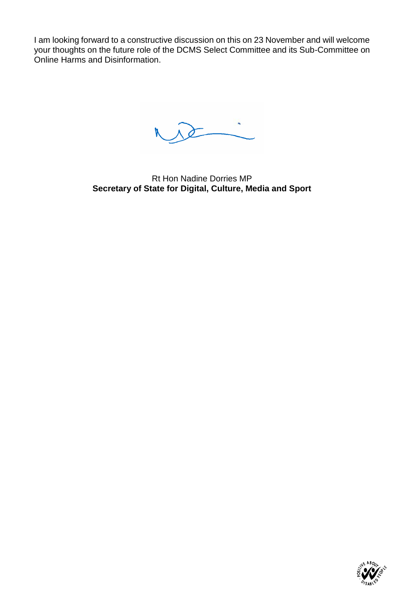I am looking forward to a constructive discussion on this on 23 November and will welcome your thoughts on the future role of the DCMS Select Committee and its Sub-Committee on Online Harms and Disinformation.

Rt Hon Nadine Dorries MP **Secretary of State for Digital, Culture, Media and Sport**

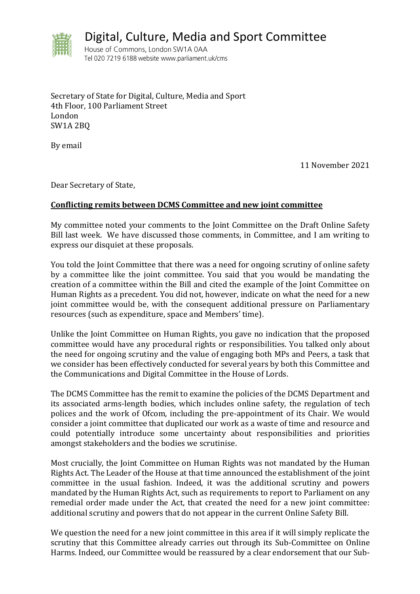

Digital, Culture, Media and Sport Committee

House of Commons, London SW1A 0AA Tel 020 7219 6188 website www.parliament.uk/cms

Secretary of State for Digital, Culture, Media and Sport 4th Floor, 100 Parliament Street London SW1A 2BQ

By email

11 November 2021

Dear Secretary of State,

## **Conflicting remits between DCMS Committee and new joint committee**

My committee noted your comments to the Joint Committee on the Draft Online Safety Bill last week. We have discussed those comments, in Committee, and I am writing to express our disquiet at these proposals.

You told the Joint Committee that there was a need for ongoing scrutiny of online safety by a committee like the joint committee. You said that you would be mandating the creation of a committee within the Bill and cited the example of the Joint Committee on Human Rights as a precedent. You did not, however, indicate on what the need for a new joint committee would be, with the consequent additional pressure on Parliamentary resources (such as expenditure, space and Members' time).

Unlike the Joint Committee on Human Rights, you gave no indication that the proposed committee would have any procedural rights or responsibilities. You talked only about the need for ongoing scrutiny and the value of engaging both MPs and Peers, a task that we consider has been effectively conducted for several years by both this Committee and the Communications and Digital Committee in the House of Lords.

The DCMS Committee has the remit to examine the policies of the DCMS Department and its associated arms-length bodies, which includes online safety, the regulation of tech polices and the work of Ofcom, including the pre-appointment of its Chair. We would consider a joint committee that duplicated our work as a waste of time and resource and could potentially introduce some uncertainty about responsibilities and priorities amongst stakeholders and the bodies we scrutinise.

Most crucially, the Joint Committee on Human Rights was not mandated by the Human Rights Act. The Leader of the House at that time announced the establishment of the joint committee in the usual fashion. Indeed, it was the additional scrutiny and powers mandated by the Human Rights Act, such as requirements to report to Parliament on any remedial order made under the Act, that created the need for a new joint committee: additional scrutiny and powers that do not appear in the current Online Safety Bill.

We question the need for a new joint committee in this area if it will simply replicate the scrutiny that this Committee already carries out through its Sub-Committee on Online Harms. Indeed, our Committee would be reassured by a clear endorsement that our Sub